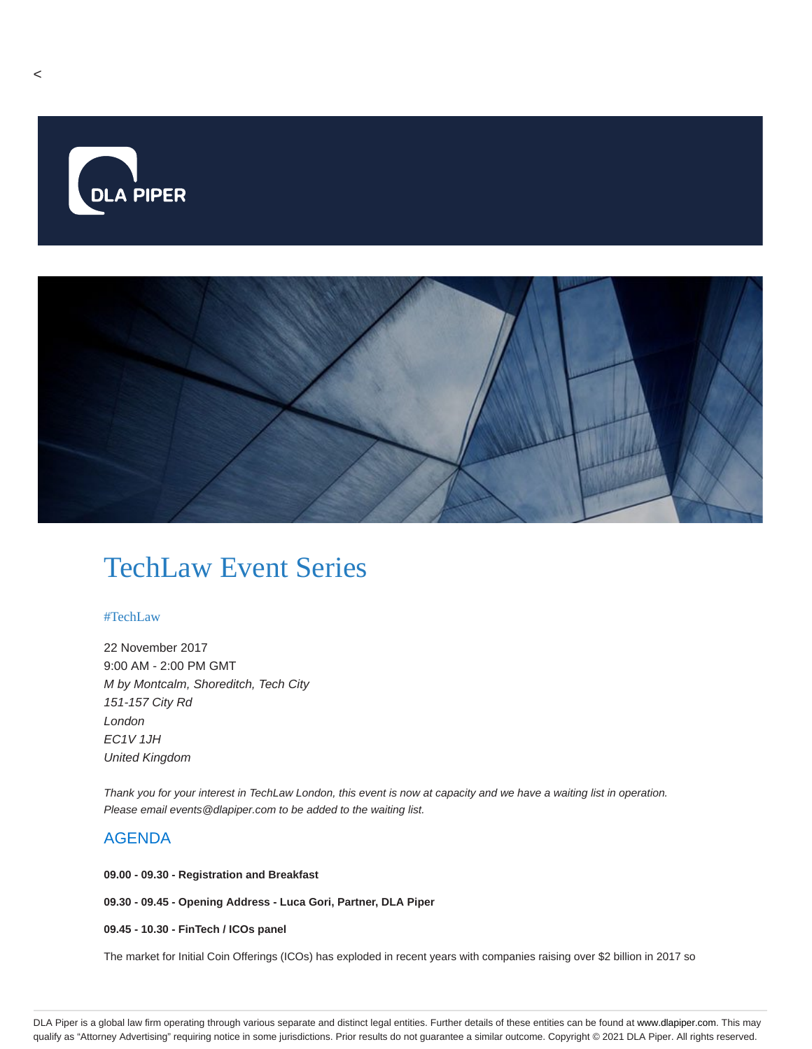

# TechLaw Event Series

# #TechLaw

22 November 2017 9:00 AM - 2:00 PM GMT M by Montcalm, Shoreditch, Tech City 151-157 City Rd London EC1V 1JH United Kingdom

Thank you for your interest in TechLaw London, this event is now at capacity and we have a waiting list in operation. Please email events@dlapiper.com to be added to the waiting list.

# AGENDA

**09.00 - 09.30 - Registration and Breakfast**

**09.30 - 09.45 - Opening Address - Luca Gori, Partner, DLA Piper**

**09.45 - 10.30 - FinTech / ICOs panel**

The market for Initial Coin Offerings (ICOs) has exploded in recent years with companies raising over \$2 billion in 2017 so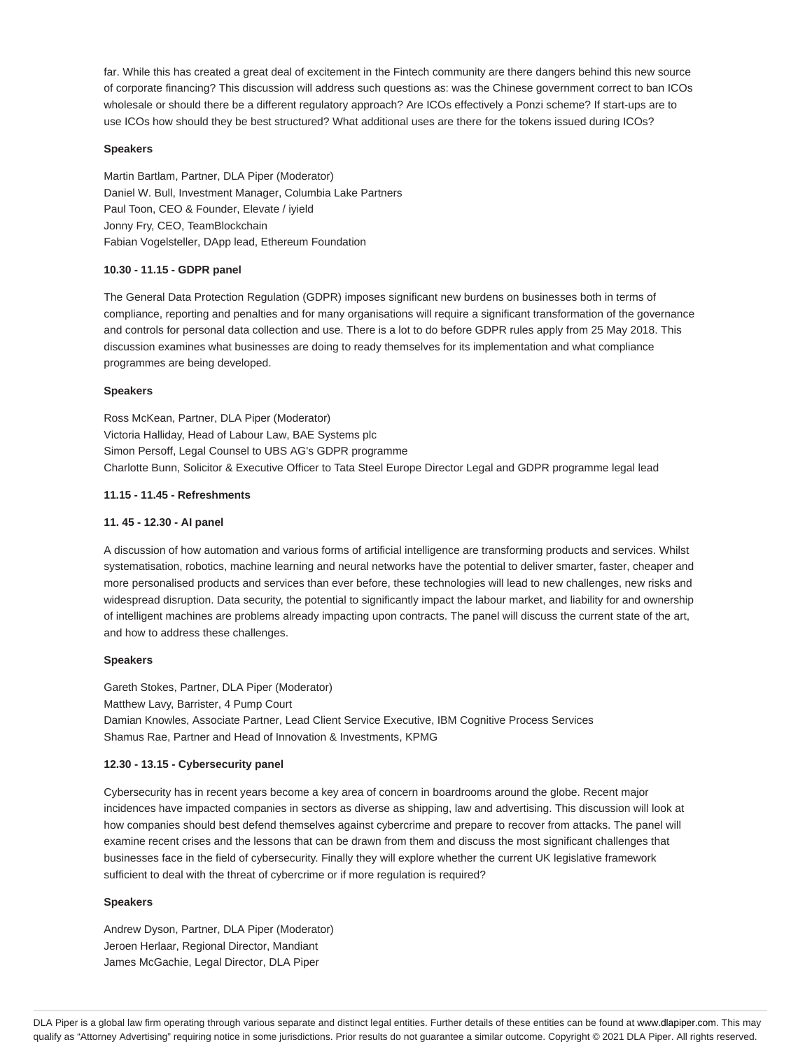far. While this has created a great deal of excitement in the Fintech community are there dangers behind this new source of corporate financing? This discussion will address such questions as: was the Chinese government correct to ban ICOs wholesale or should there be a different regulatory approach? Are ICOs effectively a Ponzi scheme? If start-ups are to use ICOs how should they be best structured? What additional uses are there for the tokens issued during ICOs?

#### **Speakers**

Martin Bartlam, Partner, DLA Piper (Moderator) Daniel W. Bull, Investment Manager, Columbia Lake Partners Paul Toon, CEO & Founder, Elevate / iyield Jonny Fry, CEO, TeamBlockchain Fabian Vogelsteller, DApp lead, Ethereum Foundation

# **10.30 - 11.15 - GDPR panel**

The General Data Protection Regulation (GDPR) imposes significant new burdens on businesses both in terms of compliance, reporting and penalties and for many organisations will require a significant transformation of the governance and controls for personal data collection and use. There is a lot to do before GDPR rules apply from 25 May 2018. This discussion examines what businesses are doing to ready themselves for its implementation and what compliance programmes are being developed.

#### **Speakers**

Ross McKean, Partner, DLA Piper (Moderator) Victoria Halliday, Head of Labour Law, BAE Systems plc Simon Persoff, Legal Counsel to UBS AG's GDPR programme Charlotte Bunn, Solicitor & Executive Officer to Tata Steel Europe Director Legal and GDPR programme legal lead

#### **11.15 - 11.45 - Refreshments**

#### **11. 45 - 12.30 - AI panel**

A discussion of how automation and various forms of artificial intelligence are transforming products and services. Whilst systematisation, robotics, machine learning and neural networks have the potential to deliver smarter, faster, cheaper and more personalised products and services than ever before, these technologies will lead to new challenges, new risks and widespread disruption. Data security, the potential to significantly impact the labour market, and liability for and ownership of intelligent machines are problems already impacting upon contracts. The panel will discuss the current state of the art, and how to address these challenges.

#### **Speakers**

Gareth Stokes, Partner, DLA Piper (Moderator) Matthew Lavy, Barrister, 4 Pump Court Damian Knowles, Associate Partner, Lead Client Service Executive, IBM Cognitive Process Services Shamus Rae, Partner and Head of Innovation & Investments, KPMG

#### **12.30 - 13.15 - Cybersecurity panel**

Cybersecurity has in recent years become a key area of concern in boardrooms around the globe. Recent major incidences have impacted companies in sectors as diverse as shipping, law and advertising. This discussion will look at how companies should best defend themselves against cybercrime and prepare to recover from attacks. The panel will examine recent crises and the lessons that can be drawn from them and discuss the most significant challenges that businesses face in the field of cybersecurity. Finally they will explore whether the current UK legislative framework sufficient to deal with the threat of cybercrime or if more regulation is required?

#### **Speakers**

Andrew Dyson, Partner, DLA Piper (Moderator) Jeroen Herlaar, Regional Director, Mandiant James McGachie, Legal Director, DLA Piper